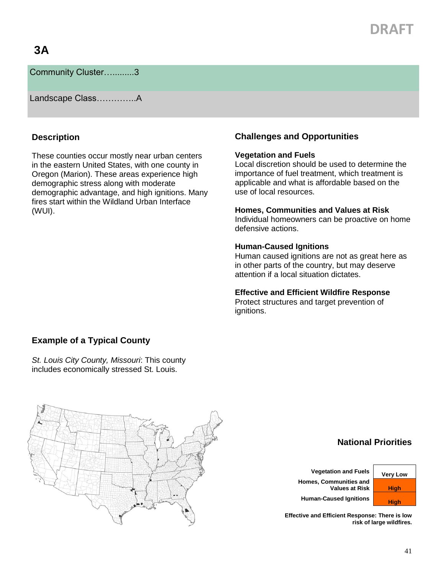# **DRAFT**

## **3A**

Community Cluster….........3

Landscape Class…………..A

### **Description**

These counties occur mostly near urban centers in the eastern United States, with one county in Oregon (Marion). These areas experience high demographic stress along with moderate demographic advantage, and high ignitions. Many fires start within the Wildland Urban Interface (WUI).

## **Challenges and Opportunities**

#### **Vegetation and Fuels**

Local discretion should be used to determine the importance of fuel treatment, which treatment is applicable and what is affordable based on the use of local resources.

#### **Homes, Communities and Values at Risk**

Individual homeowners can be proactive on home defensive actions.

#### **Human-Caused Ignitions**

Human caused ignitions are not as great here as in other parts of the country, but may deserve attention if a local situation dictates.

#### **Effective and Efficient Wildfire Response**

Protect structures and target prevention of ignitions.

### **Example of a Typical County**

*St. Louis City County, Missouri*: This county includes economically stressed St. Louis.



**National Priorities**

**Vegetation and Fuels Very Low Homes, Communities and Values at Risk | High Human-Caused Ignitions High** 

**Effective and Efficient Response: There is low risk of large wildfires.**